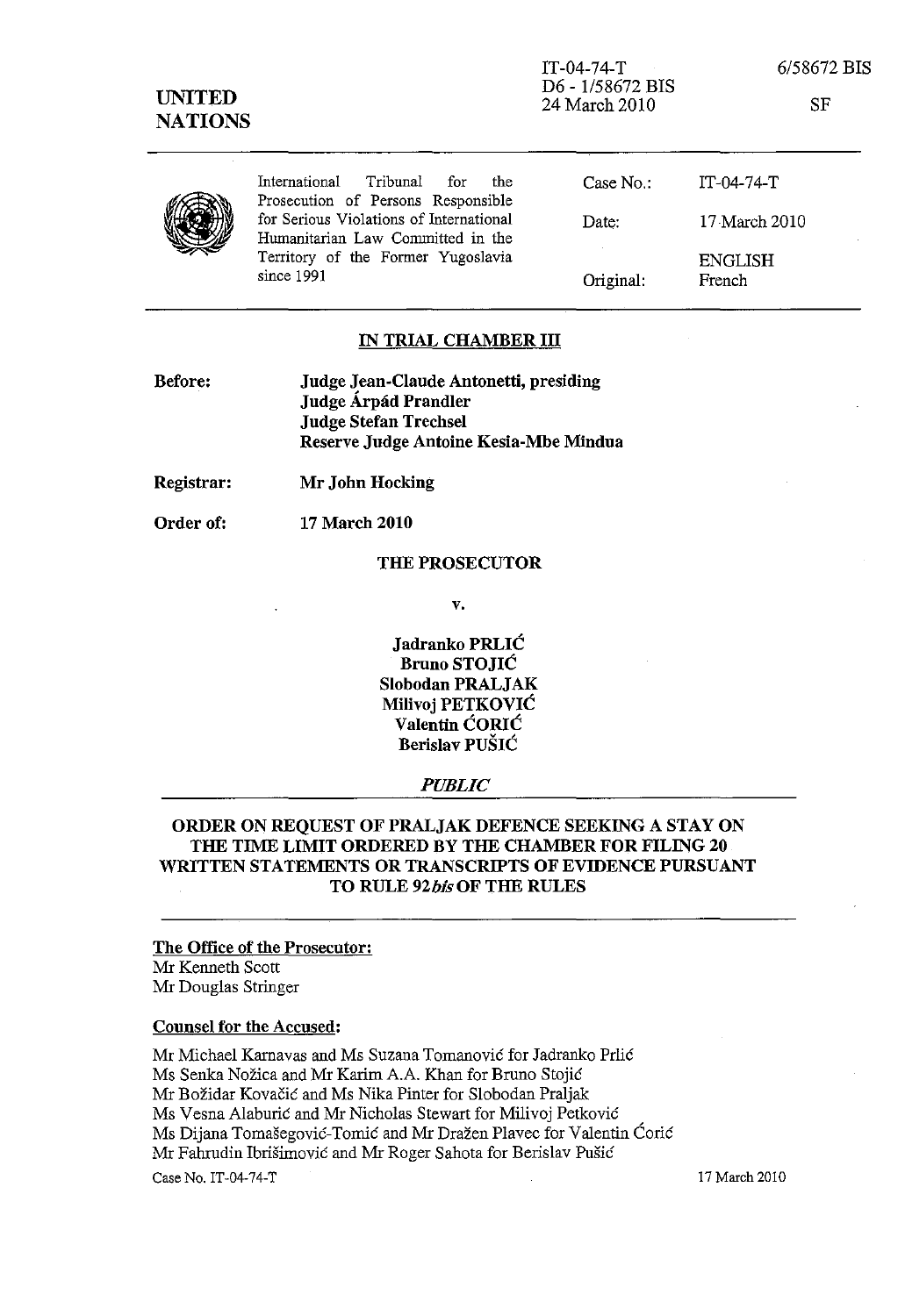| <b>UNITED</b><br><b>NATIONS</b> |                                                                               | $IT-04-74-T$<br>D6 - 1/58672 BIS<br>24 March 2010 | 6/58672 BIS<br>SF        |
|---------------------------------|-------------------------------------------------------------------------------|---------------------------------------------------|--------------------------|
|                                 | Tribunal<br>International<br>for<br>the<br>Prosecution of Persons Responsible | Case $No.$ :                                      | $IT-04-74-T$             |
|                                 | for Serious Violations of International<br>Humanitarian Law Committed in the  | Date:                                             | 17 March 2010            |
|                                 | Territory of the Former Yugoslavia<br>since 1991                              | Original:                                         | <b>ENGLISH</b><br>French |

# **IN TRIAL CHAMBER III**

| Before: | Judge Jean-Claude Antonetti, presiding |
|---------|----------------------------------------|
|         | Judge Árpád Prandler                   |
|         | <b>Judge Stefan Trechsel</b>           |
|         | Reserve Judge Antoine Kesia-Mbe Mindua |

**Registrar: Mr John Hocking** 

Order of: **17 March 2010** 

#### **THE PROSECUTOR**

**v.** 

**Jadranko PRLIC Bruno STOJIC Slobodan PRALJAK Milivoj PETKOVIC Valentin CORlC Berislav PUSIC** 

#### *PUBLIC*

# **ORDER ON REQUEST OF PRALJAK DEFENCE SEEKING A STAY ON THE TIME LIMIT ORDERED BY THE CHAMBER FOR FILING 20 WRITTEN STATEMENTS OR TRANSCRIPTS OF EVIDENCE PURSUANT TO RULE** *92bis* **OF THE RULES**

#### **The Office of the Prosecutor:**

Mr Kenneth Scott Mr Douglas Stringer

### **Counsel for the Accused:**

Mr Michael Karnavas and Ms Suzana Tomanović for Jadranko Prlić Ms Senka Nožica and Mr Karim A.A. Khan for Bruno Stojić Mr Božidar Kovačić and Ms Nika Pinter for Slobodan Praljak Ms Vesna Alaburic and Mr Nicholas Stewart for Milivoj Petkovie Ms Dijana Tomašegović-Tomić and Mr Dražen Plavec for Valentin Ćorić Mr Fahrudin Ibrišimović and Mr Roger Sahota for Berislav Pušić Case No. IT-04-74-T 17 March 2010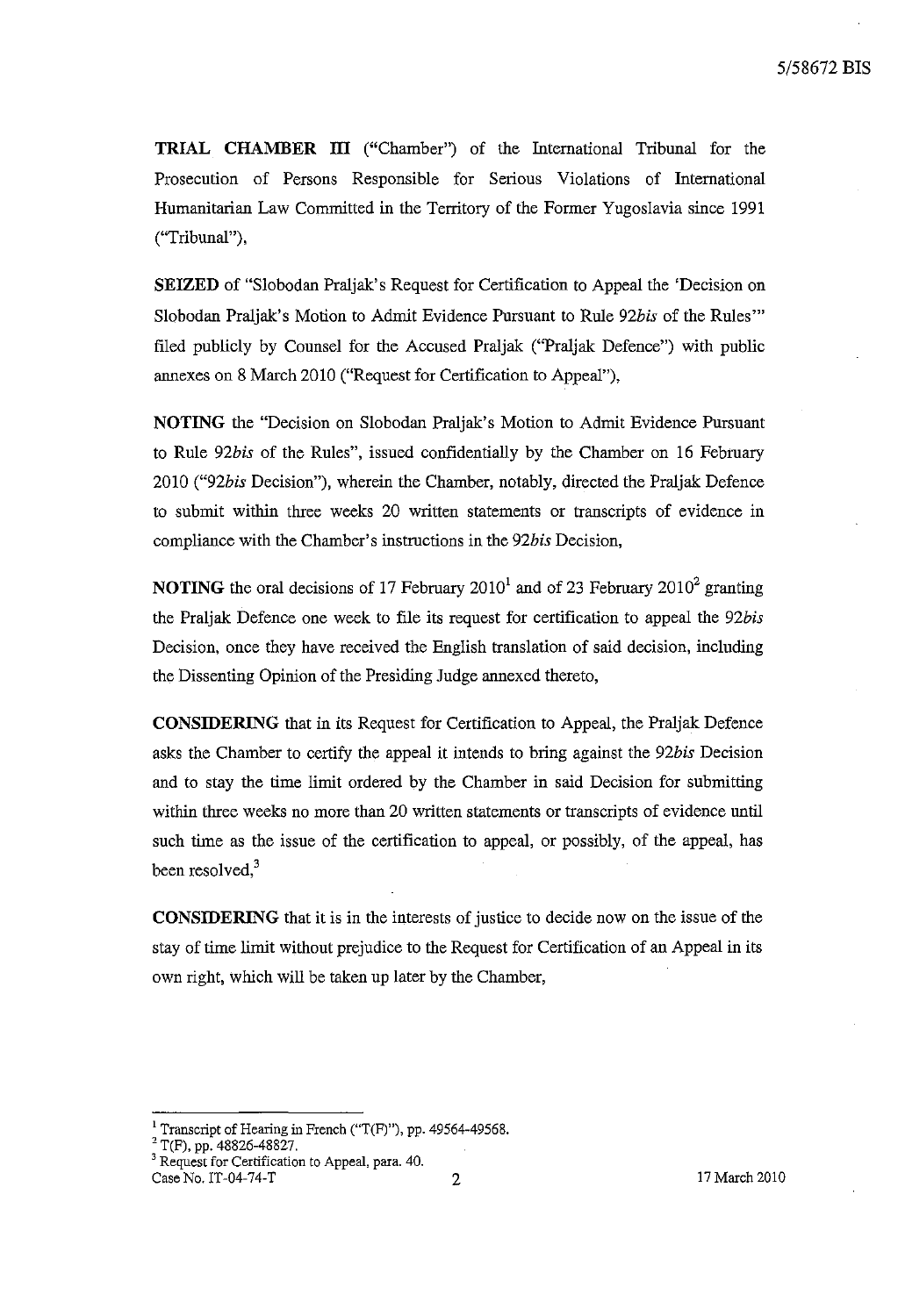**TRIAL CHAMBER III** ("Chamber") of the International Tribunal for the Prosecution of Persons Responsible for Serious Violations of International Humanitarian Law Committed in the Territory of the Former Yugoslavia since 1991 ("Tribunal"),

**SEIZED** of "Slobodan Praljak's Request for Certification to Appeal the 'Decision on Slobodan Praljak's Motion to Admit Evidence Pursuant to Rule *92bis* of the Rules'" filed publicly by Counsel for the Accused Praljak ("Praljak Defence") with public annexes on 8 March 2010 ("Request for Certification to Appeal"),

**NOTING** the "Decision on Slobodan Praljak's Motion to Admit Evidence Pursuant to Rule *92bis* of the Rules", issued confidentially by the Chamber on 16 February *2010 ("92bis* Decision"), wherein the Chamber, notably, directed the Praljak Defence to submit within three weeks 20 written statements or transcripts of evidence in compliance with the Chamber's instructions in the *92bis* Decision,

**NOTING** the oral decisions of 17 February 2010<sup>1</sup> and of 23 February 2010<sup>2</sup> granting the Praljak Defence one week to file its request for certification to appeal the *92bis*  Decision, once they have received the English translation of said decision, including the Dissenting Opinion of the Presiding Judge annexed thereto,

**CONSIDERING** that in its Request for Certification to Appeal, the Praljak Defence asks the Chamber to certify the appeal it intends to bring against the *92bis* Decision and to stay the time limit ordered by the Chamber in said Decision for submitting within three weeks no more than 20 written statements or transcripts of evidence until such time as the issue of the certification to appeal, or possibly, of the appeal, has been resolved, $3$ 

**CONSIDERING** that it is in the interests of justice to decide now on the issue of the stay of time limit without prejudice to the Request for Certification of an Appeal in its own right, which will be taken up later by the Chamber,

 $2$  T(F), pp. 48826-48827.

<sup>&</sup>lt;sup>1</sup> Transcript of Hearing in French ("T(F)"), pp. 49564-49568.

<sup>&</sup>lt;sup>3</sup> Request for Certification to Appeal, para. 40. Case No. IT-04-74-T 2 2 17 March 2010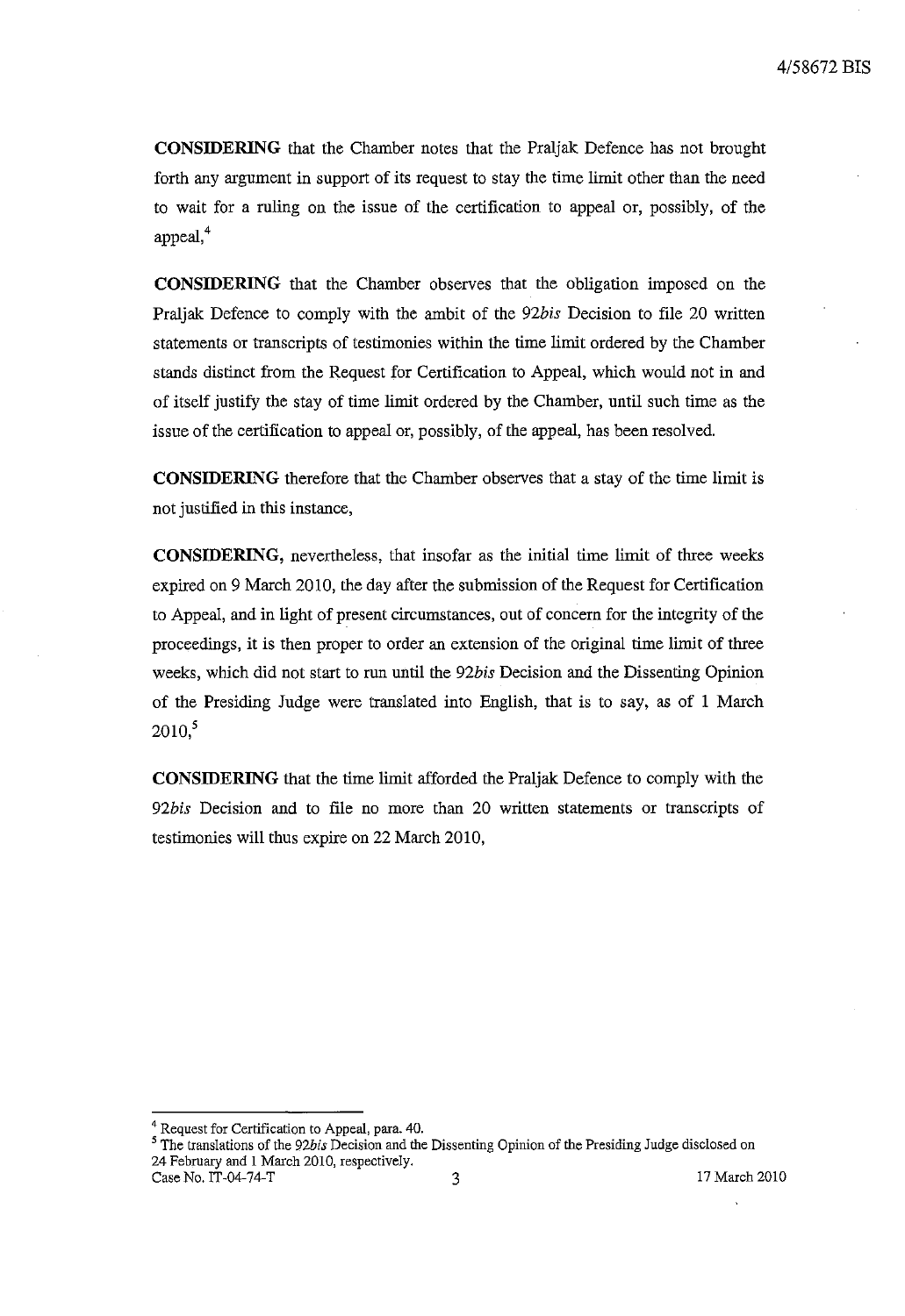**CONSIDERING** that the Chamber notes that the Praljak Defence has not brought forth any argument in support of its request to stay the time limit other than the need to wait for a ruling on the issue of the certification to appeal or, possibly, of the appeal,<sup>4</sup>

**CONSIDERING** that the Chamber observes that the obligation imposed on the Praljak Defence to comply with the ambit of the *92bis* Decision to file 20 written statements or transcripts of testimonies within the time limit ordered by the Chamber stands distinct from the Request for Certification to Appeal, which would not in and of itself justify the stay of time limit ordered by the Chamber, until such time as the issue of the certification to appeal or, possibly, of the appeal, has been resolved.

**CONSIDERING** therefore that the Chamber observes that a stay of the time limit is not justified in this instance,

**CONSIDERING,** nevertheless, that insofar as the initial time limit of three weeks expired on 9 March 2010, the day after the submission of the Request for Certification to Appeal, and in light of present circumstances, out of concern for the integrity of the proceedings, it is then proper to order an extension of the Original time limit of three weeks, which did not start to run until the *92bis* Decision and the Dissenting Opinion of the Presiding Judge were translated into English, that is to say, as of I March  $2010$ <sup>5</sup>

**CONSIDERING** that the time limit afforded the Praljak Defence to comply with the *92bis* Decision and to file no more than 20 written statements or transcripts of testimonies will thus expire on 22 March 2010,

<sup>4</sup> Request for Certification to Appeal, para. 40.

<sup>5</sup> The translations of the *92bis* Decision and the Dissenting Opinion of the Presiding Judge disclosed on 24 February and 1 March 2010, respectively. Case No. IT-04-74-T 3 2010 3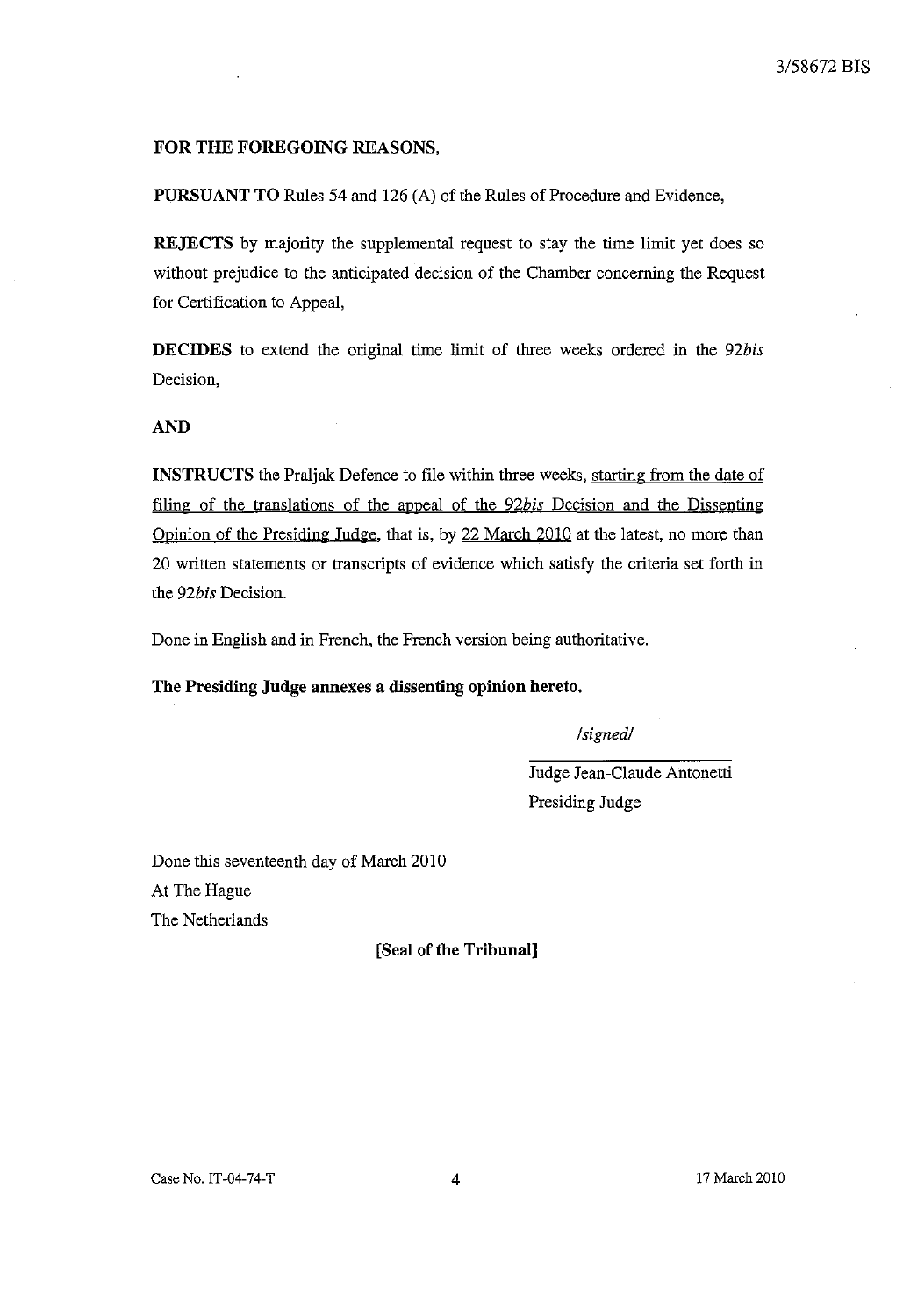# FOR THE FOREGOING REASONS,

PURSUANT TO Rules 54 and 126 (A) of the Rules of Procedure and Evidence,

REJECTS by majority the supplemental request to stay the time limit yet does so without prejudice to the anticipated decision of the Chamber concerning the Request for Certification to Appeal,

DECIDES to extend the original time limit of three weeks ordered in the *92bis*  Decision,

#### AND

INSTRUCTS the Praljak Defence to file within three weeks, starting from the date of filing of the translations of the appeal of the *92bis* Decision and the Dissenting Opinion of the Presiding Judge, that is, by 22 March 2010 at the latest, no more than 20 written statements or transcripts of evidence which satisfy the criteria set forth in the *92bis* Decision.

Done in English and in French, the French version being authoritative.

The Presiding Judge annexes a dissenting opinion hereto.

*!signed!* 

Judge Jean-Claude Antonetti Presiding Judge

Done this seventeenth day of March 2010 At The Hague The Netherlands

[Seal of the Tribunal]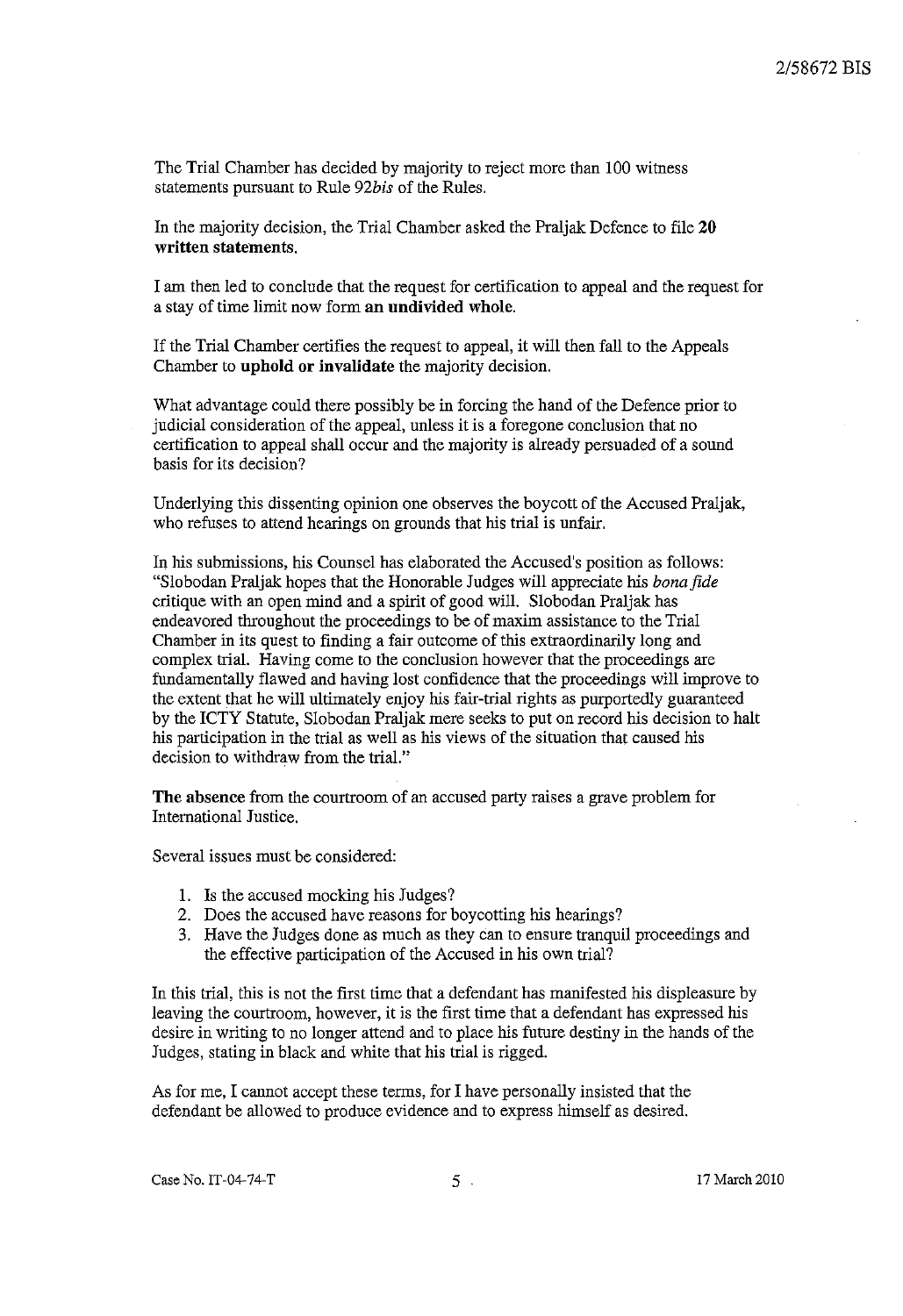The Trial Chamber has decided by majority to reject more than 100 witness statements pursuant to Rule *92bis* of the Rules.

In the majority decision, the Trial Chamber asked the Praljak Defence to file 20 written statements.

I am then led to conclude that the request for certification to appeal and the request for a stay of time limit now form an undivided whole.

If the Trial Chamber certifies the request to appeal, it will then fall to the Appeals Chamber to uphold or invalidate the majority decision.

What advantage could there possibly be in forcing the hand of the Defence prior to judicial consideration of the appeal, unless it is a foregone conclusion that no certification to appeal shall occur and the majority is already persuaded of a sound basis for its decision?

Underlying this dissenting opinion one observes the boycott of the Accused Praljak, who refuses to attend hearings on grounds that his trial is unfair.

In his submissions, his Counsel has elaborated the Accused's position as follows: "Slobodan Praljak hopes that the Honorable Judges will appreciate his *bona fide*  critique with an open mind and a spirit of good will. Slobodan Praljak has endeavored throughout the proceedings to be of maxim assistance to the Trial Chamber in its quest to finding a fair outcome of this extraordinarily long and complex trial. Having come to the conclusion however that the proceedings are fundamentally flawed and having lost confidence that the proceedings will improve to the extent that he will ultimately enjoy his fair-trial rights as purportedly guaranteed by the ICTY Statute, Slobodan Praljak mere seeks to put on record his decision to halt his participation in the trial as well as his views of the situation that caused his decision to withdraw from the trial."

The absence from the courtroom of an accused party raises a grave problem for International Justice.

Several issues must be considered:

- 1. Is the accused mocking his Judges?
- 2. Does the accused have reasons for boycotting his hearings?
- 3. Have the Judges done as much as they can to ensure tranquil proceedings and the effective participation of the Accused in his own trial?

In this trial, this is not the first time that a defendant has manifested his displeasure by leaving the courtroom, however, it is the first time that a defendant has expressed his desire in writing to no longer attend and to place his future destiny in the hands of the Judges, stating in black and white that his trial is rigged.

As for me, I cannot accept these terms, for I have personally insisted that the defendant be allowed to produce evidence and to express himself as desired.